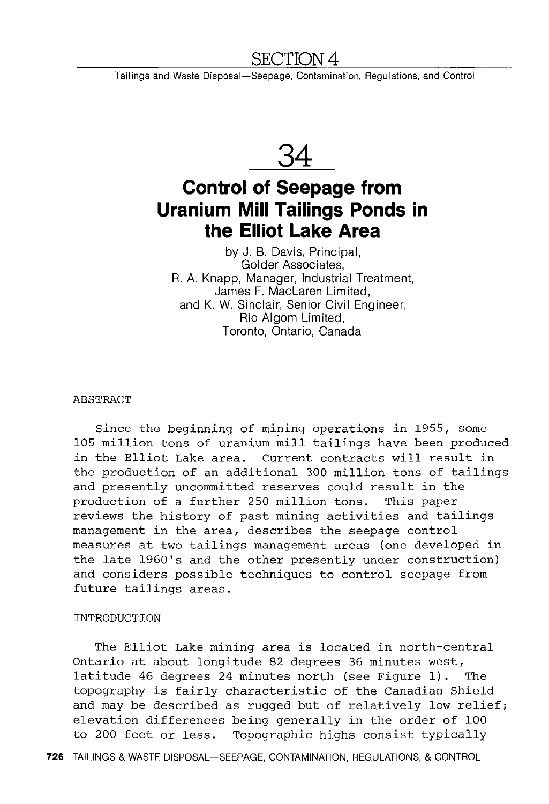## SECTION 4

Tailings and Waste Disposal-Seepage, Contamination, Regulations, and Control



# **Control of Seepage from Uranium Mill Tailings Ponds in the Elliot Lake Area**

by J. B. Davis, Principal, Golder Associates, R. A. Knapp, Manager, Industrial Treatment, James F. Maclaren Limited, and K. W. Sinclair, Senior Civil Engineer, Rio Algom Limited, Toronto, Ontario, Canada

#### **ABSTRACT**

Since the beginning of mining operations in 1955, some 105 million tons of uranium mill tailings have been produced in the Elliot Lake area. Current contracts will result in the production of an additional 300 million tons of tailings and presently uncommitted reserves could result in the production of a further 250 million tons. This paper reviews the history of past mining activities and tailings management in the area, describes the seepage control measures at two tailings management areas (one developed in the late 1960's and the other presently under construction) and considers possible techniques to control seepage from future tailings areas.

## INTRODUCTION

The Elliot Lake mining area is located in north-central Ontario at about longitude 82 degrees 36 minutes west, latitude 46 degrees 24 minutes north (see Figure 1). The topography is fairly characteristic of the Canadian Shield and may be described as rugged but of relatively low relief; elevation differences being generally in the order of 100 to 200 feet or less. Topographic highs consist typically

**726** TAILINGS & WASTE DISPOSAL-SEEPAGE, CONTAMINATION, REGULATIONS, & CONTROL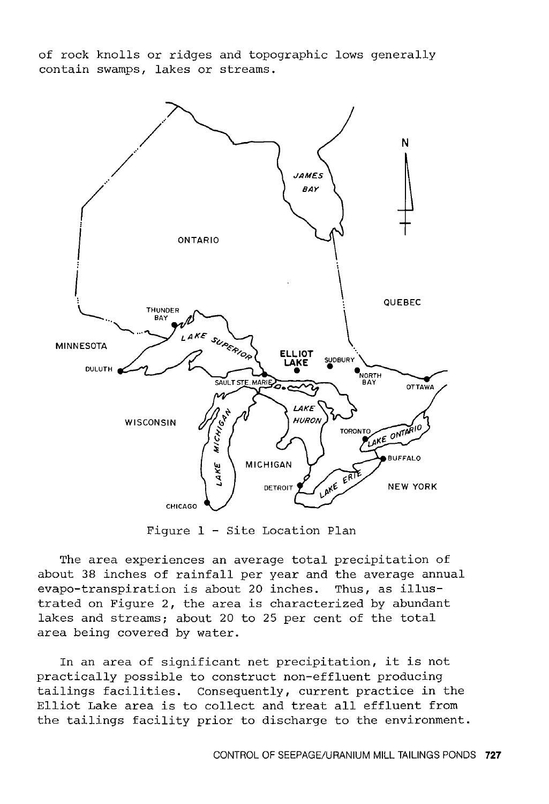of rock knolls or ridges and topographic lows generally contain swamps, lakes or streams.



Figure 1 - Site Location Plan

The area experiences an average total precipitation of about 38 inches of rainfall per year and the average annual evapo-transpiration is about 20 inches. Thus, as illustrated on Figure 2, the area is characterized by abundant lakes and streams; about 20 to 25 per cent of the total area being covered by water.

In an area of significant net precipitation, it is not practically possible to construct non-effluent producing tailings facilities. Consequently, current practice in the Elliot Lake area is to collect and treat all effluent from the tailings facility prior to discharge to the environment.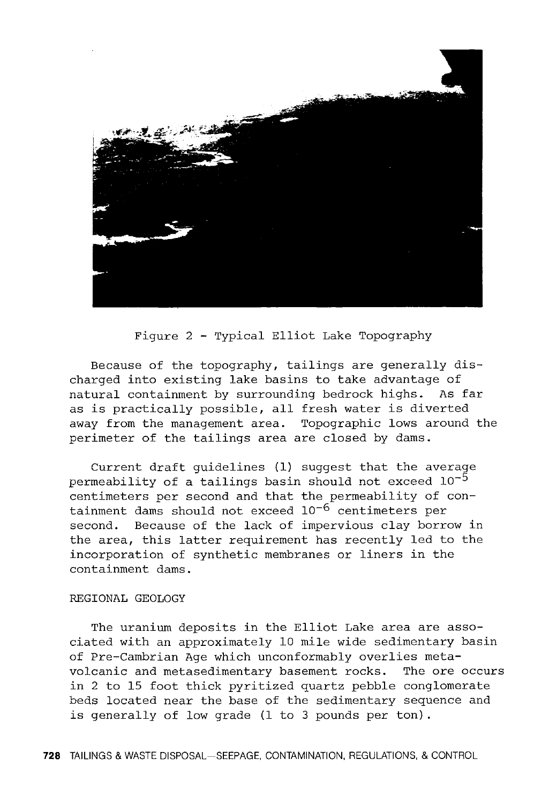

Figure 2 - Typical Elliot Lake Topography

Because of the topography, tailings are generally discharged into existing lake basins to take advantage of natural containment by surrounding bedrock highs. As far as is practically possible, all fresh water is diverted away from the management area. Topographic lows around the perimeter of the tailings area are closed by dams.

Current draft guidelines (1) suggest that the average permeability of a tailings basin should not exceed  $10^{-5}$ centimeters per second and that the permeability of containment dams should not exceed 10<sup>-6</sup> centimeters per second. Because of the lack of impervious clay borrow in the area, this latter requirement has recently led to the incorporation of synthetic membranes or liners in the containment dams.

#### REGIONAL GEOLOGY

The uranium deposits in the Elliot Lake area are associated with an approximately 10 mile wide sedimentary basin of Pre-Cambrian Age which unconformably overlies metavolcanic and metasedimentary basement rocks. The ore occurs in 2 to 15 foot thick pyritized quartz pebble conglomerate beds located near the base of the sedimentary sequence and is generally of low grade (1 to 3 pounds per ton) .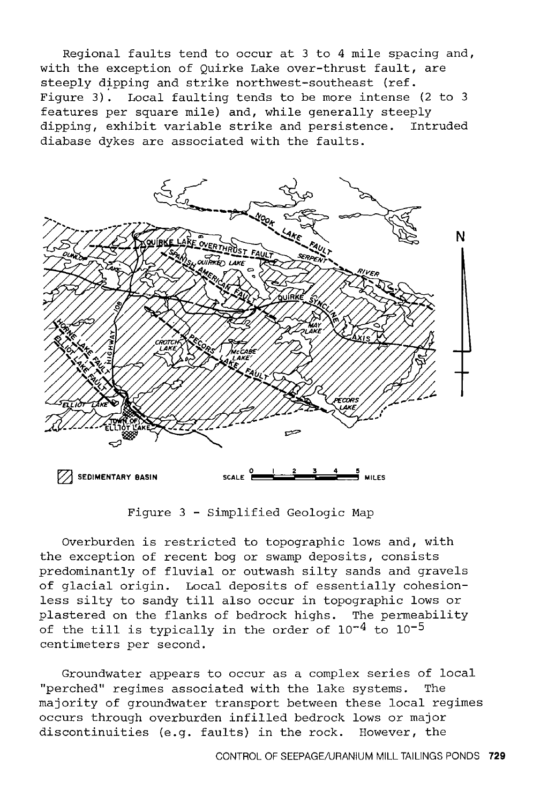Regional faults tend to occur at 3 to 4 mile spacing and, with the exception of Quirke Lake over-thrust fault, are steeply dipping and strike northwest-southeast (ref. Figure 3). Local faulting tends to be more intense (2 to 3 features per square mile) and, while generally steeply<br>dipping, exhibit variable strike and persistence. Intruded dipping, exhibit variable strike and persistence. diabase dykes are associated with the faults.



Figure 3 - Simplified Geologic Map

Overburden is restricted to topographic lows and, with the exception of recent bog or swamp deposits, consists predominantly of fluvial or outwash silty sands and gravels of glacial origin. Local deposits of essentially cohesionless silty to sandy till also occur in topographic lows or plastered on the flanks of bedrock highs. The permeability of the till is typically in the order of  $10^{-4}$  to  $10^{-5}$ centimeters per second.

Groundwater appears to occur as a complex series of local "perched" regimes associated with the lake systems. The majority of groundwater transport between these local regimes occurs through overburden infilled bedrock lows or major discontinuities (e.g. faults) in the rock. However, the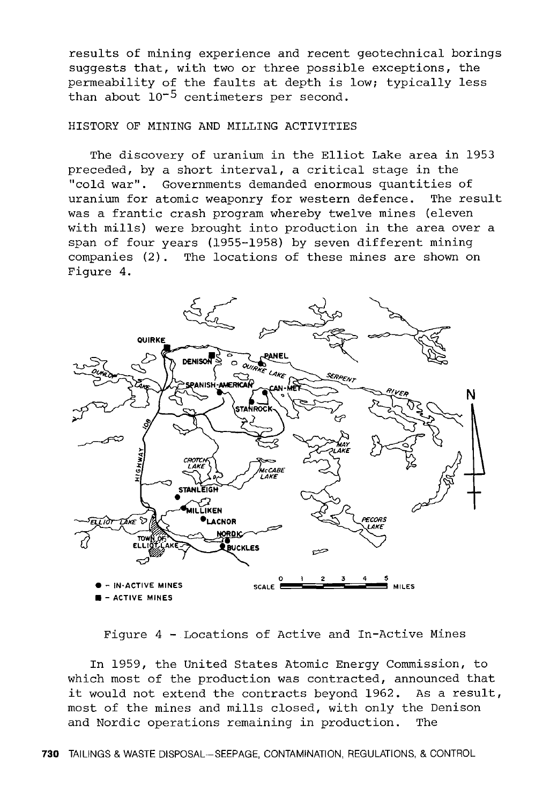results of mining experience and recent geotechnical borings suggests that, with two or three possible exceptions, the permeability of the faults at depth is low; typically less than about  $10^{-5}$  centimeters per second.

## HISTORY OF MINING AND MILLING ACTIVITIES

The discovery of uranium in the Elliot Lake area in 1953 preceded, by a short interval, a critical stage in the "cold war". Governments demanded enormous quantities of uranium for atomic weaponry for western defence. The result was a frantic crash program whereby twelve mines (eleven with mills) were brought into production in the area over a span of four years (1955-1958) by seven different mining companies (2). The locations of these mines are shown on Figure 4.



Figure 4 - Locations of Active and In-Active Mines

In 1959, the United States Atomic Energy Commission, to which most of the production was contracted, announced that it would not extend the contracts beyond 1962. As a result, most of the mines and mills closed, with only the Denison and Nordic operations remaining in production. The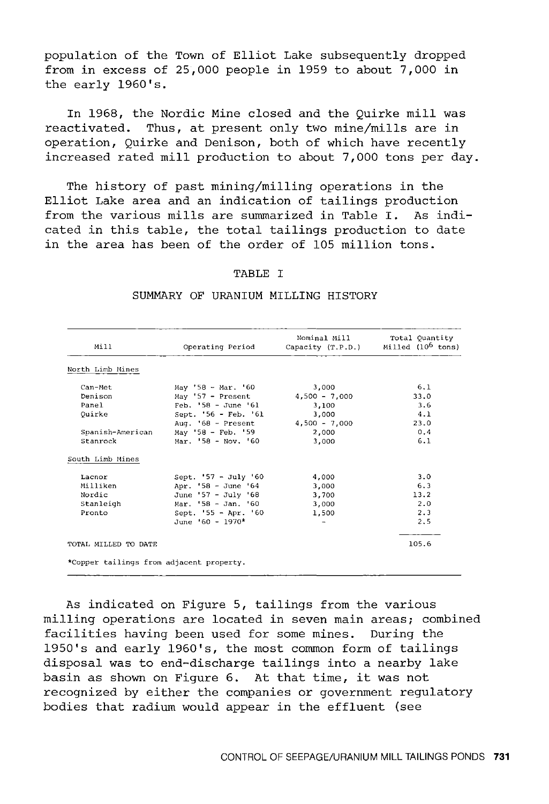population of the Town of Elliot Lake subsequently dropped from in excess of 25,000 people in 1959 to about 7,000 in the early 1960's.

In 1968, the Nordic Mine closed and the Quirke mill was reactivated. Thus, at present only two mine/mills are in operation, Quirke and Denison, both of which have recently increased rated mill production to about 7,000 tons per day.

The history of past mining/milling operations in the Elliot Lake area and an indication of tailings production from the various mills are summarized in Table I. As indicated in this table, the total tailings production to date in the area has been of the order of 105 million tons.

## TABLE T

| Mill                                     | Operating Period      | Nominal Mill<br>Capacity (T.P.D.) | Total Ouantity<br>Milled (10 <sup>6</sup> tons) |  |  |
|------------------------------------------|-----------------------|-----------------------------------|-------------------------------------------------|--|--|
| North Limb Mines                         |                       |                                   |                                                 |  |  |
| Can-Met                                  | May '58 - Mar. '60    | 3,000                             | 6.1                                             |  |  |
| Denison                                  | May '57 - Present     | $4,500 - 7,000$                   | 33.0                                            |  |  |
| Panel                                    | $Feb. '58 - June '61$ | 3,100                             | 3.6                                             |  |  |
| Ouirke                                   | Sept. '56 - Feb. '61  | 3.000                             | 4.1                                             |  |  |
|                                          | Aug. $68$ - Present   | $4,500 - 7,000$                   | 23.0                                            |  |  |
| Spanish-American                         | May '58 - Feb. '59    | 2,000                             | 0.4                                             |  |  |
| Stanrock                                 | Mar. 58 - Nov. '60    | 3,000                             | 6.1                                             |  |  |
| South Limb Mines                         |                       |                                   |                                                 |  |  |
| Lacnor                                   | Sept. '57 - July '60  | 4,000                             | 3.0                                             |  |  |
| Milliken                                 | Apr. '58 - June '64   | 3,000                             | 6.3                                             |  |  |
| Nordic                                   | June '57 - July '68   | 3,700                             | 13.2                                            |  |  |
| Stanleigh                                | Mar. '58 - Jan. '60   | 3,000                             | 2.0                                             |  |  |
| Pronto                                   | Sept. '55 - Apr. '60  | 1,500                             | 2.3                                             |  |  |
|                                          | June '60 - 1970*      |                                   | 2.5                                             |  |  |
| TOTAL MILLED TO DATE                     |                       |                                   | 105.6                                           |  |  |
| *Copper tailings from adjacent property. |                       |                                   |                                                 |  |  |

#### SUMMARY OF URANIUM MILLING HISTORY

As indicated on Figure 5, tailings from the various milling operations are located in seven main areas; combined facilities having been used for some mines. During the 1950's and early 1960's, the most common form of tailings disposal was to end-discharge tailings into a nearby lake basin as shown on Figure 6. At that time, it was not recognized by either the companies or government regulatory bodies that radium would appear in the effluent (see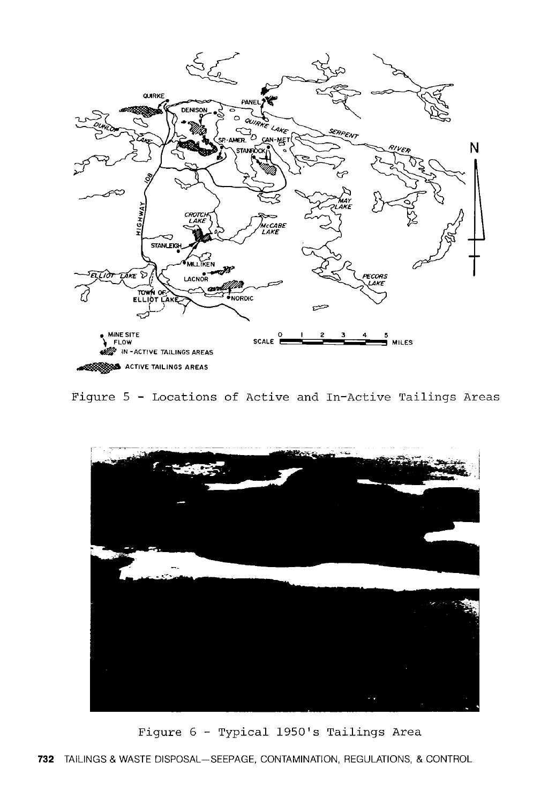

Figure 5 - Locations of Active and In-Active Tailings Areas



Figure 6 - Typical 1950's Tailings Area

**732** TAILINGS & WASTE DISPOSAL-SEEPAGE, CONTAMINATION, REGULATIONS, & CONTROL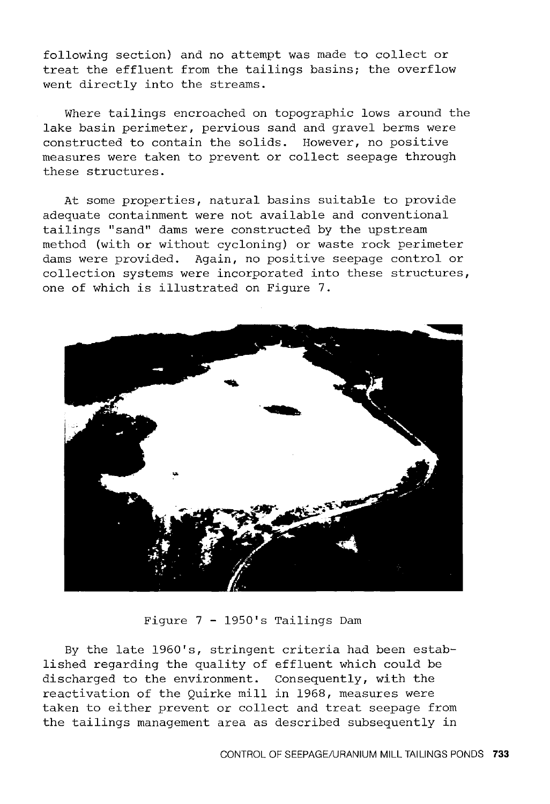following section) and no attempt was made to collect or treat the effluent from the tailings basins; the overflow went directly into the streams.

Where tailings encroached on topographic lows around the lake basin perimeter, pervious sand and gravel berms were constructed to contain the solids. However, no positive measures were taken to prevent or collect seepage through these structures.

At some properties, natural basins suitable to provide adequate containment were not available and conventional tailings "sand" dams were constructed by the upstream method (with or without cycloning) or waste rock perimeter dams were provided. Again, no positive seepage control or collection systems were incorporated into these structures, one of which is illustrated on Figure 7.



Figure 7 - 1950's Tailings Dam

By the late 1960's, stringent criteria had been established regarding the quality of effluent which could be discharged to the environment. Consequently, with the reactivation of the Quirke mill in 1968, measures were taken to either prevent or collect and treat seepage from the tailings management area as described subsequently in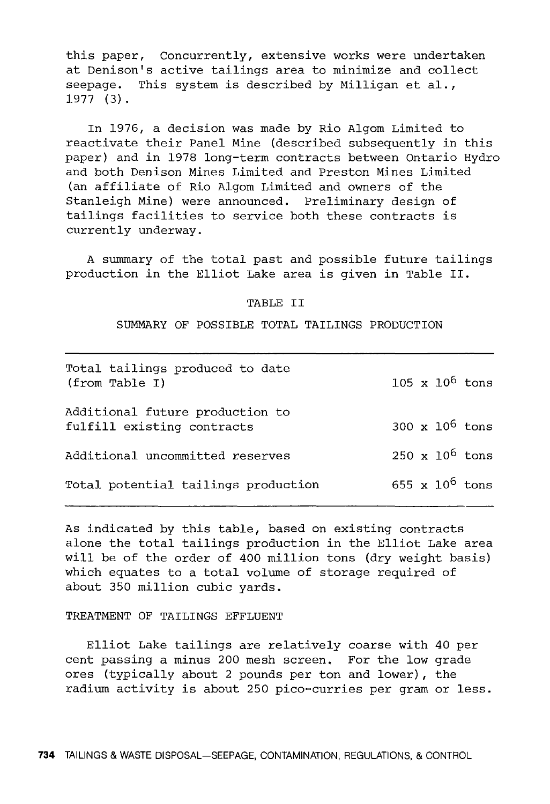this paper, Concurrently, extensive works were undertaken at Denison's active tailings area to minimize and collect seepage. This system is described by Milligan et al., 1977 (3).

In 1976, a decision was made by Rio Algom Limited to reactivate their Panel Mine (described subsequently in this paper) and in 1978 long-term contracts between Ontario Hydro and both Denison Mines Limited and Preston Mines Limited (an affiliate of Rio Algom Limited and owners of the Stanleigh Mine) were announced. Preliminary design of tailings facilities to service both these contracts is currently underway.

A summary of the total past and possible future tailings production in the Elliot Lake area is given in Table II.

#### TABLE II

SUMMARY OF POSSIBLE TOTAL TAILINGS PRODUCTION

| Total tailings produced to date<br>(from Table I)             |  | 105 x $10^6$ tons            |
|---------------------------------------------------------------|--|------------------------------|
| Additional future production to<br>fulfill existing contracts |  | 300 $x$ 10 <sup>6</sup> tons |
| Additional uncommitted reserves                               |  | $250 \times 10^6$ tons       |
| Total potential tailings production                           |  | 655 x $10^6$ tons            |

As indicated by this table, based on existing contracts alone the total tailings production in the Elliot Lake area will be of the order of 400 million tons (dry weight basis) which equates to a total volume of storage required of about 350 million cubic yards.

TREATMENT OF TAILINGS EFFLUENT

Elliot Lake tailings are relatively coarse with 40 per cent passing a minus 200 mesh screen. For the low grade ores (typically about 2 pounds per ton and lower), the radium activity is about 250 pico-curries per gram or less.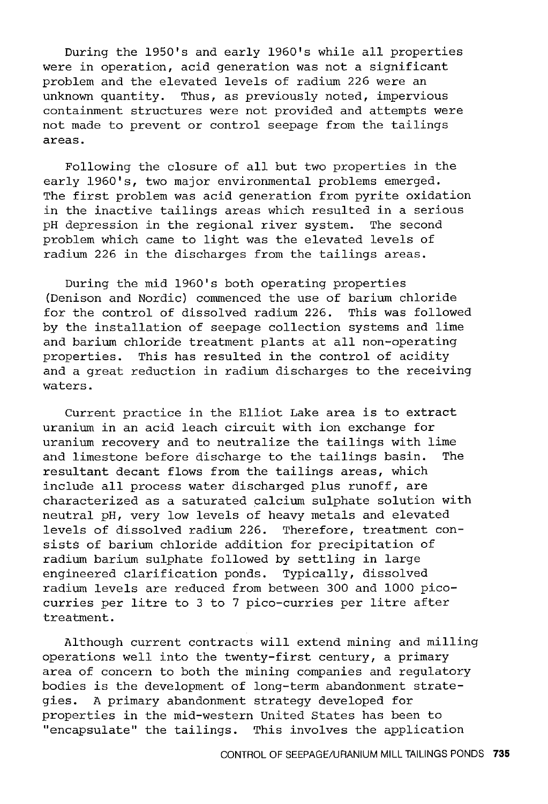During the 1950's and early 1960's while all properties were in operation, acid generation was not a significant problem and the elevated levels of radium 226 were an unknown quantity. Thus, as previously noted, impervious containment structures were not provided and attempts were not made to prevent or control seepage from the tailings areas.

Following the closure of all but two properties in the early 1960's, two major environmental problems emerged. The first problem was acid generation from pyrite oxidation in the inactive tailings areas which resulted in a serious pH depression in the regional river system. The second problem which came to light was the elevated levels of radium 226 in the discharges from the tailings areas.

During the mid 1960's both operating properties (Denison and Nordic) commenced the use of barium chloride for the control of dissolved radium 226. This was followed by the installation of seepage collection systems and lime and barium chloride treatment plants at all non-operating properties. This has resulted in the control of acidity and a great reduction in radium discharges to the receiving waters.

Current practice in the Elliot Lake area is to extract uranium in an acid leach circuit with ion exchange for uranium recovery and to neutralize the tailings with lime<br>and limestone before discharge to the tailings basin. The and limestone before discharge to the tailings basin. resultant decant flows from the tailings areas, which include all process water discharged plus runoff, are characterized as a saturated calcium sulphate solution with neutral pH, very low levels of heavy metals and elevated levels of dissolved radium 226. Therefore, treatment consists of barium chloride addition for precipitation of radium barium sulphate followed by settling in large engineered clarification ponds. Typically, dissolved radium levels are reduced from between 300 and 1000 picocurries per litre to 3 to 7 pico-curries per litre after treatment.

Although current contracts will extend mining and milling operations well into the twenty-first century, a primary area of concern to both the mining companies and regulatory bodies is the development of long-term abandonment strategies. A primary abandonment strategy developed for properties in the mid-western United States has been to "encapsulate" the tailings. This involves the application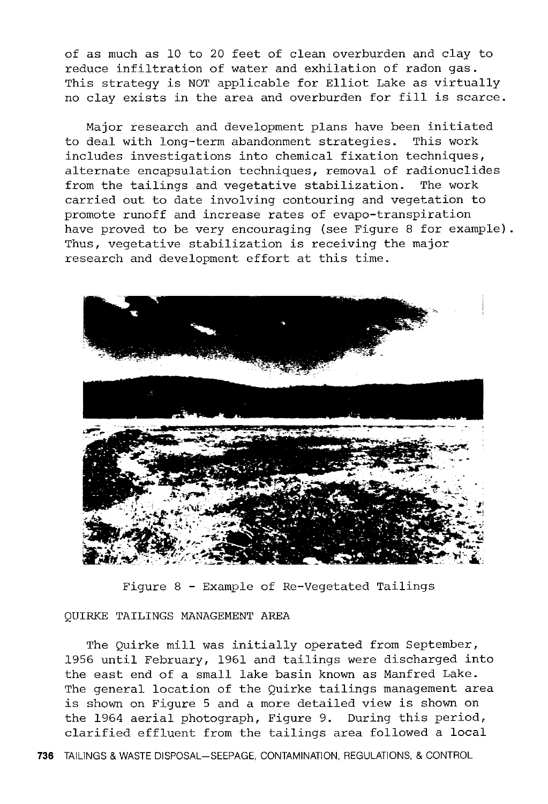of as much as 10 to 20 feet of clean overburden and clay to reduce infiltration of water and exhilation of radon gas. This strategy is NOT applicable for Elliot Lake as virtually no clay exists in the area and overburden for fill is scarce.

Major research and development plans have been initiated<br>deal with long-term abandonment strategies. This work to deal with long-term abandonment strategies. includes investigations into chemical fixation techniques, alternate encapsulation techniques, removal of radionuclides<br>from the tailings and vegetative stabilization. The work from the tailings and vegetative stabilization. carried out to date involving contouring and vegetation to promote runoff and increase rates of evapo-transpiration have proved to be very encouraging (see Figure 8 for example) . Thus, vegetative stabilization is receiving the major research and development effort at this time.



Figure 8 - Example of Re-Vegetated Tailings

## QUIRKE TAILINGS MANAGEMENT AREA

The Quirke mill was initially operated from September, 1956 until February, 1961 and tailings were discharged into the east end of a small lake basin known as Manfred Lake. The general location of the Quirke tailings management area is shown on Figure 5 and a more detailed view is shown on the 1964 aerial photograph, Figure 9. During this period, clarified effluent from the tailings area followed a local

**736** TAILINGS & WASTE DISPOSAL-SEEPAGE, CONTAMINATION, REGULATIONS, & CONTROL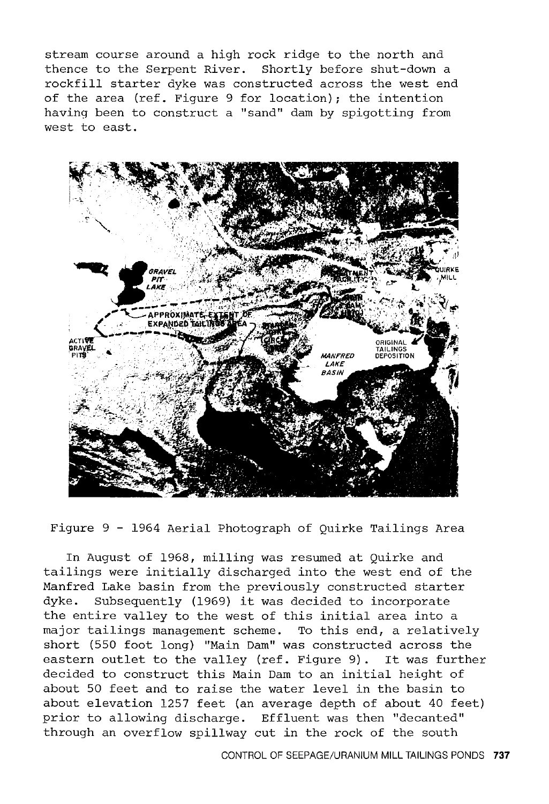stream course around a high rock ridge to the north and thence to the Serpent River. Shortly before shut-down a rockfill starter dyke was constructed across the west end of the area (ref. Figure 9 for location); the intention having been to construct a "sand" dam by spigotting from west to east.



Figure 9 - 1964 Aerial Photograph of Quirke Tailings Area

In August of 1968, milling was resumed at Quirke and tailings were initially discharged into the west end of the Manfred Lake basin from the previously constructed starter dyke. Subsequently (1969) it was decided to incorporate the entire valley to the west of this initial area into a major tailings management scheme. To this end, a relatively short (550 foot long) "Main Dam" was constructed across the eastern outlet to the valley (ref. Figure 9). It was further decided to construct this Main Dam to an initial height of about 50 feet and to raise the water level in the basin to about elevation 1257 feet (an average depth of about 40 feet) prior to allowing discharge. Effluent was then "decanted" through an overflow spillway cut in the rock of the south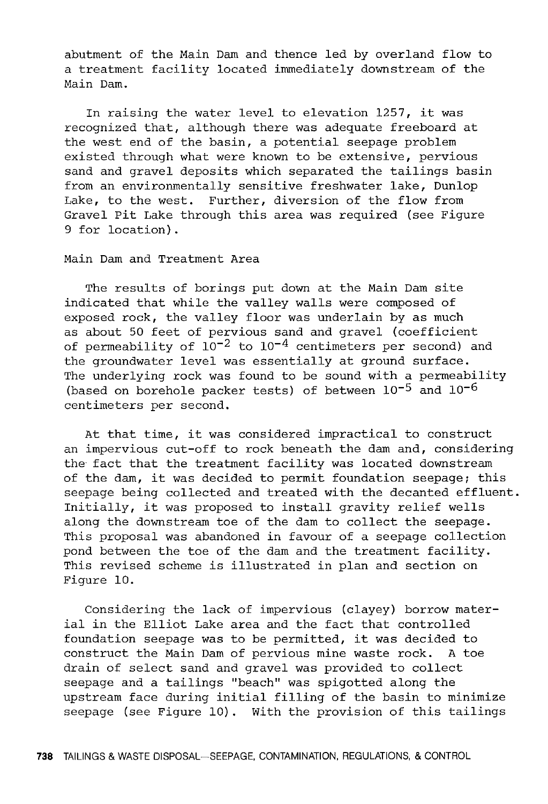abutment of the Main Dam and thence led by overland flow to a treatment facility located immediately downstream of the Main Dam.

In raising the water level to elevation 1257, it was recognized that, although there was adequate freeboard at the west end of the basin, a potential seepage problem existed through what were known to be extensive, pervious sand and gravel deposits which separated the tailings basin from an environmentally sensitive freshwater lake, Dunlop Lake, to the west. Further, diversion of the flow from Gravel Pit Lake through this area was required (see Figure 9 for location).

## Main Dam and Treatment Area

The results of borings put down at the Main Dam site indicated that while the valley walls were composed of exposed rock, the valley floor was underlain by as much as about 50 feet of pervious sand and gravel (coefficient of permeability of  $10^{-2}$  to  $10^{-4}$  centimeters per second) and the groundwater level was essentially at ground surface. The underlying rock was found to be sound with a permeability (based on borehole packer tests) of between  $10^{-5}$  and  $10^{-6}$ centimeters per second.

At that time, it was considered impractical to construct an impervious cut-off to rock beneath the dam and, considering the fact that the treatment facility was located downstream of the dam, it was decided to permit foundation seepage; this seepage being collected and treated with the decanted effluent. Initially, it was proposed to install gravity relief wells along the downstream toe of the dam to collect the seepage. This proposal was abandoned in favour of a seepage collection pond between the toe of the dam and the treatment facility. This revised scheme is illustrated in plan and section on Figure 10.

Considering the lack of impervious (clayey) borrow material in the Elliot Lake area and the fact that controlled foundation seepage was to be permitted, it was decided to construct the Main Dam of pervious mine waste rock. A toe drain of select sand and gravel was provided to collect seepage and a tailings "beach" was spigotted along the upstream face during initial filling of the basin to minimize seepage (see Figure 10). With the provision of this tailings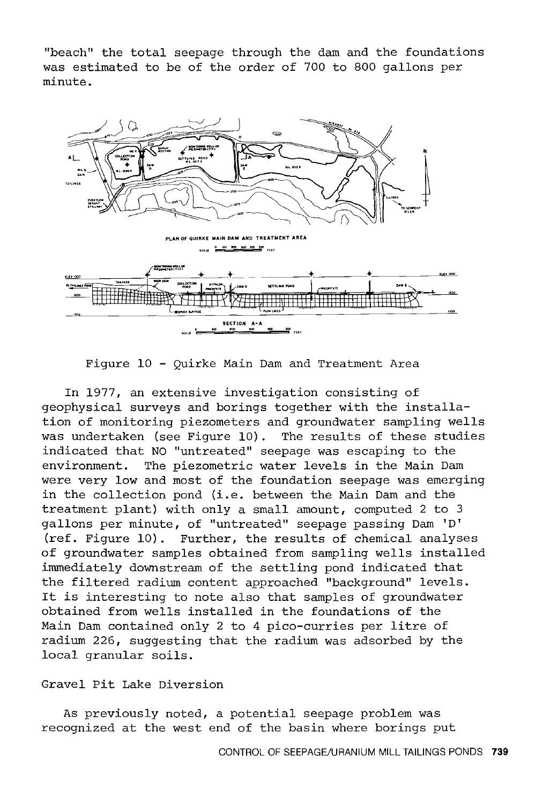"beach" the total seepage through the dam and the foundations was estimated to be of the order of 700 to 800 gallons per minute.



Figure 10 - Quirke Main Dam and Treatment Area

In 1977, an extensive investigation consisting of geophysical surveys and borings together with the installation of monitoring piezometers and groundwater sampling wells was undertaken (see Figure 10). The results of these studies indicated that NO "untreated" seepage was escaping to the environment. The piezometric water levels in the Main Dam were very low and most of the foundation seepage was emerging in the collection pond (i.e. between the Main Dam and the treatment plant) with only a small amount, computed 2 to 3 gallons per minute, of "untreated" seepage passing Dam 'D' (ref. Figure 10). Further, the results of chemical analyses of groundwater samples obtained from sampling wells installed immediately downstream of the settling pond indicated that the filtered radium content approached "background" levels. It is interesting to note also that samples of groundwater obtained from wells installed in the foundations of the Main Dam contained only 2 to 4 pico-curries per litre of radium 226, suggesting that the radium was adsorbed by the local granular soils.

## Gravel Pit Lake Diversion

As previously noted, a potential seepage problem was recognized at the west end of the basin where borings put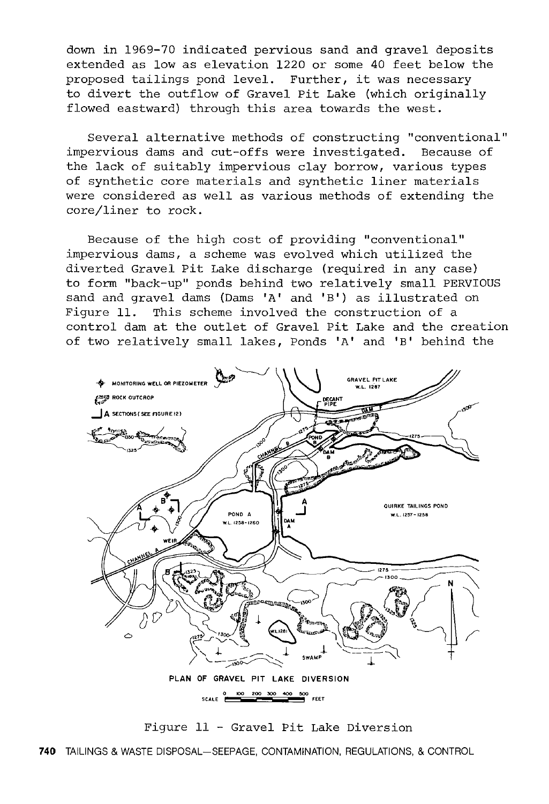down in 1969-70 indicated pervious sand and gravel deposits extended as low as elevation 1220 or some 40 feet below the proposed tailings pond level. Further, it was necessary to divert the outflow of Gravel Pit Lake (which originally flowed eastward) through this area towards the west.

Several alternative methods of constructing "conventional" impervious dams and cut-offs were investigated. Because of the lack of suitably impervious clay borrow, various types of synthetic core materials and synthetic liner materials were considered as well as various methods of extending the core/liner to rock.

Because of the high cost of providing "conventional" impervious dams, a scheme was evolved which utilized the diverted Gravel Pit Lake discharge (required in any case) to form "back-up" ponds behind two relatively small PERVIOUS sand and gravel dams (Dams 'A' and 'B') as illustrated on Figure 11. This scheme involved the construction of a control dam at the outlet of Gravel Pit Lake and the creation of two relatively small lakes, Ponds 'A' and 'B' behind the



Figure 11 - Gravel Pit Lake Diversion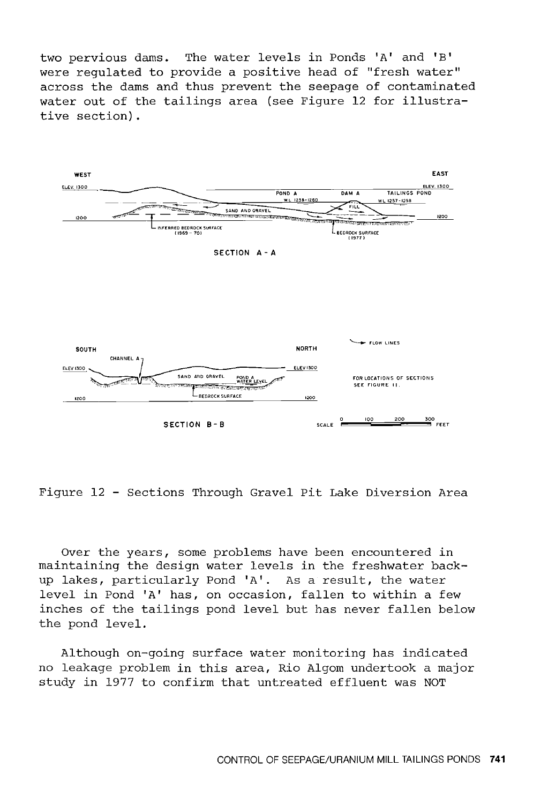two pervious dams. The water levels in Ponds 'A' and 'B' were regulated to provide a positive head of "fresh water" across the dams and thus prevent the seepage of contaminated water out of the tailings area (see Figure 12 for illustrative section).



Figure 12 - Sections Through Gravel Pit Lake Diversion Area

Over the years, some problems have been encountered in maintaining the design water levels in the freshwater backup lakes, particularly Pond 'A'. As a result, the water level in Pond 'A' has, on occasion, fallen to within a few inches of the tailings pond level but has never fallen below the pond level.

Although on-going surface water monitoring has indicated no leakage problem in this area, Rio Algom undertook a major study in 1977 to confirm that untreated effluent was NOT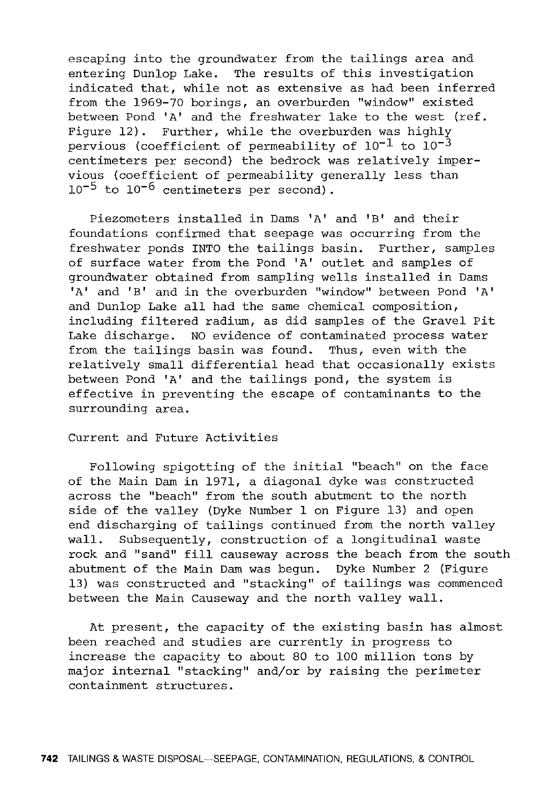escaping into the groundwater from the tailings area and entering Dunlop Lake. The results of this investigation indicated that, while not as extensive as had been inferred from the 1969-70 borings, an overburden "window" existed between Pond 'A' and the freshwater lake to the west (ref. Figure 12). Further, while the overburden was highly pervious (coefficient of permeability of  $10^{-1}$  to  $10^{-3}$ centimeters per second) the bedrock was relatively impervious (coefficient of permeability generally less than  $10^{-5}$  to  $10^{-6}$  centimeters per second).

Piezometers installed in Dams 'A' and 'B' and their foundations confirmed that seepage was occurring from the freshwater ponds INTO the tailings basin. Further, samples of surface water from the Pond 'A' outlet and samples of groundwater obtained from sampling wells installed in Dams 'A' and 'B' and in the overburden "window" between Pond 'A' and Dunlop Lake all had the same chemical composition, including filtered radium, as did samples of the Gravel Pit Lake discharge. NO evidence of contaminated process water from the tailings basin was found. Thus, even with the relatively small differential head that occasionally exists between Pond 'A' and the tailings pond, the system is effective in preventing the escape of contaminants to the surrounding area.

Current and Future Activities

Following spigotting of the initial "beach" on the face of the Main Dam in 1971, a diagonal dyke was constructed across the "beach" from the south abutment to the north side of the valley (Dyke Number 1 on Figure 13) and open end discharging of tailings continued from the north valley wall. Subsequently, construction of a longitudinal waste rock and "sand" fill causeway across the beach from the south abutment of the Main Dam was begun. Dyke Number 2 (Figure 13) was constructed and "stacking" of tailings was commenced between the Main Causeway and the north valley wall.

At present, the capacity of the existing basin has almost been reached and studies are currently in progress to increase the capacity to about 80 to 100 million tons by major internal "stacking" and/or by raising the perimeter containment structures.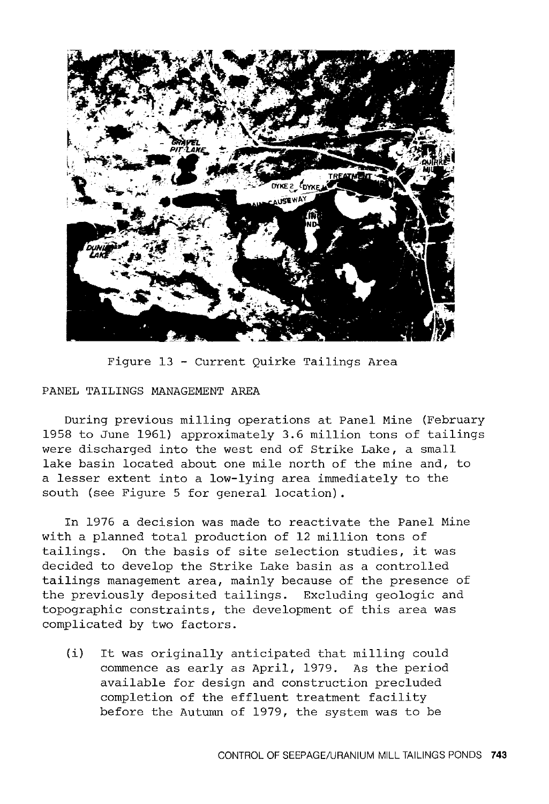

Figure 13 - Current Quirke Tailings Area

## PANEL TAILINGS MANAGEMENT AREA

During previous milling operations at Panel Mine (February 1958 to June 1961) approximately 3.6 million tons of tailings were discharged into the west end of Strike Lake, a small lake basin located about one mile north of the mine and, to a lesser extent into a low-lying area immediately to the south (see Figure 5 for general location) .

In 1976 a decision was made to reactivate the Panel Mine with a planned total production of 12 million tons of tailings. On the basis of site selection studies, it was decided to develop the Strike Lake basin as a controlled tailings management area, mainly because of the presence of the previously deposited tailings. Excluding geologic and topographic constraints, the development of this area was complicated by two factors.

(i) It was originally anticipated that milling could commence as early as April, 1979. As the period available for design and construction precluded completion of the effluent treatment facility before the Autumn of 1979, the system was to be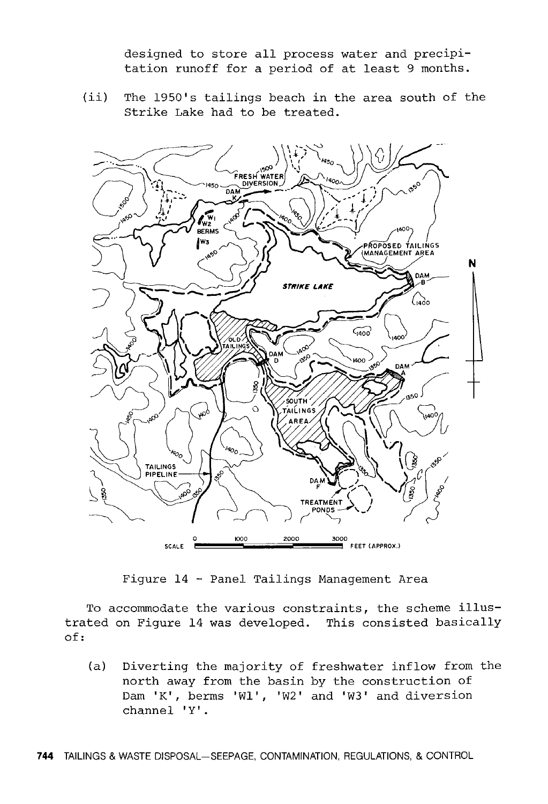designed to store all process water and precipitation runoff for a period of at least 9 months.

(ii) The 1950's tailings beach in the area south of the Strike Lake had to be treated.



Figure 14 - Panel Tailings Management Area

To accommodate the various constraints, the scheme illustrated on Figure 14 was developed. This consisted basically of:

(a) Diverting the majority of freshwater inflow from the north away from the basin by the construction of Dam 'K', berms 'Wl', 'W2' and 'W3' and diversion channel 'Y' .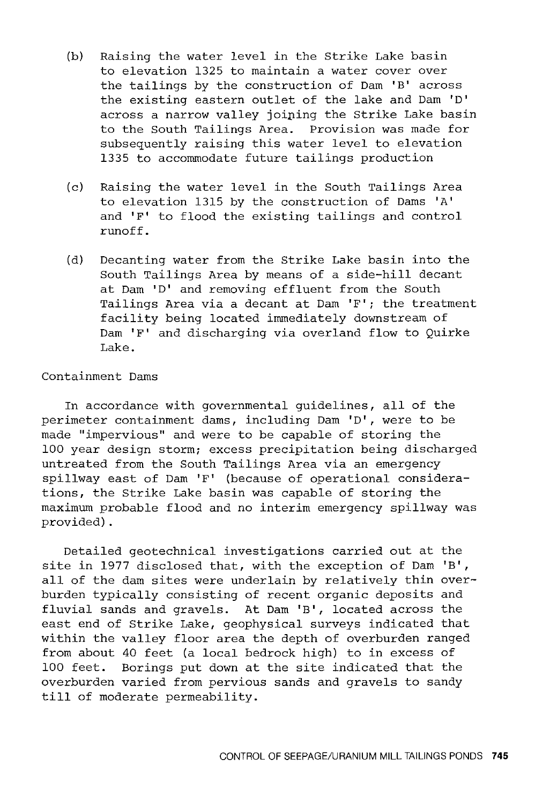- (b) Raising the water level in the Strike Lake basin to elevation 1325 to maintain a water cover over the tailings by the construction of Dam 'B' across the existing eastern outlet of the lake and Dam 'D' across a narrow valley joining the Strike Lake basin to the South Tailings Area. Provision was made for subsequently raising this water level to elevation 1335 to accommodate future tailings production
- (c) Raising the water level in the South Tailings Area to elevation 1315 by the construction of Dams 'A' and 'F' to flood the existing tailings and control runoff.
- (d) Decanting water from the Strike Lake basin into the South Tailings Area by means of a side-hill decant at Dam 'D' and removing effluent from the South Tailings Area via a decant at Dam 'F'; the treatment facility being located immediately downstream of Dam 'F' and discharging via overland flow to Quirke Lake.

## Containment Dams

In accordance with governmental guidelines, all of the perimeter containment dams, including Dam 'D', were to be made "impervious" and were to be capable of storing the 100 year design storm; excess precipitation being discharged untreated from the South Tailings Area via an emergency spillway east of Dam 'F' (because of operational considerations, the Strike Lake basin was capable of storing the maximum probable flood and no interim emergency spillway was provided).

Detailed geotechnical investigations carried out at the site in 1977 disclosed that, with the exception of Dam 'B', all of the dam sites were underlain by relatively thin overburden typically consisting of recent organic deposits and fluvial sands and gravels. At Dam 'B', located across the east end of Strike Lake, geophysical surveys indicated that within the valley floor area the depth of overburden ranged from about 40 feet (a local bedrock high) to in excess of 100 feet. Borings put down at the site indicated that the overburden varied from pervious sands and gravels to sandy till of moderate permeability.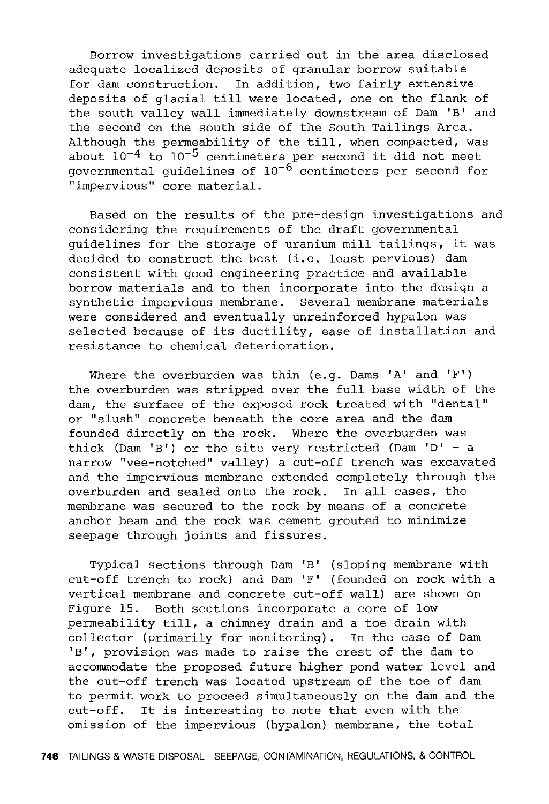Borrow investigations carried out in the area disclosed adequate localized deposits of granular borrow suitable for dam construction. In addition, two fairly extensive deposits of glacial till were located, one on the flank of the south valley wall immediately downstream of Dam 'B' and the second on the south side of the South Tailings Area. Although the permeability of the till, when compacted, was about  $10^{-4}$  to  $10^{-5}$  centimeters per second it did not meet governmental guidelines of  $10^{-6}$  centimeters per second for "impervious" core material.

Based on the results of the pre-design investigations and considering the requirements of the draft governmental guidelines for the storage of uranium mill tailings, it was decided to construct the best (i.e. least pervious) dam consistent with good engineering practice and available borrow materials and to then incorporate into the design a synthetic impervious membrane. Several membrane materials were considered and eventually unreinforced hypalon was selected because of its ductility, ease of installation and resistance to chemical deterioration.

Where the overburden was thin (e.g. Dams 'A' and 'F') the overburden was stripped over the full base width of the dam, the surface of the exposed rock treated with "dental" or "slush" concrete beneath the core area and the dam founded directly on the rock. Where the overburden was thick (Dam 'B') or the site very restricted (Dam 'D' - a narrow "vee-notched" valley) a cut-off trench was excavated and the impervious membrane extended completely through the overburden and sealed onto the rock. In all cases, the membrane was secured to the rock by means of a concrete anchor beam and the rock was cement grouted to minimize seepage through joints and fissures.

Typical sections through Dam 'B' (sloping membrane with cut-off trench to rock) and Dam 'F' (founded on rock with a vertical membrane and concrete cut-off wall) are shown on Figure 15. Both sections incorporate a core of low permeability till, a chimney drain and a toe drain with collector (primarily for monitoring). In the case of Dam 'B', provision was made to raise the crest of the dam to accommodate the proposed future higher pond water level and the cut-off trench was located upstream of the toe of dam to permit work to proceed simultaneously on the dam and the cut-off. It is interesting to note that even with the omission of the impervious (hypalon) membrane, the total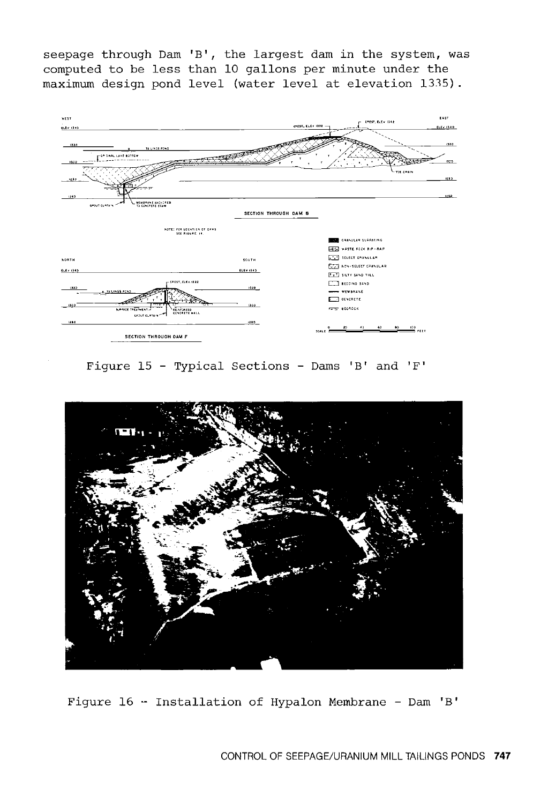seepage through Dam 'B', the largest dam in the system, was computed to be less than 10 gallons per minute under the maximum design pond level (water level at elevation 1315).



Figure 15 - Typical Sections - Dams 'B' and 'F'



Figure 16 - Installation of Hypalon Membrane - Dam 'B'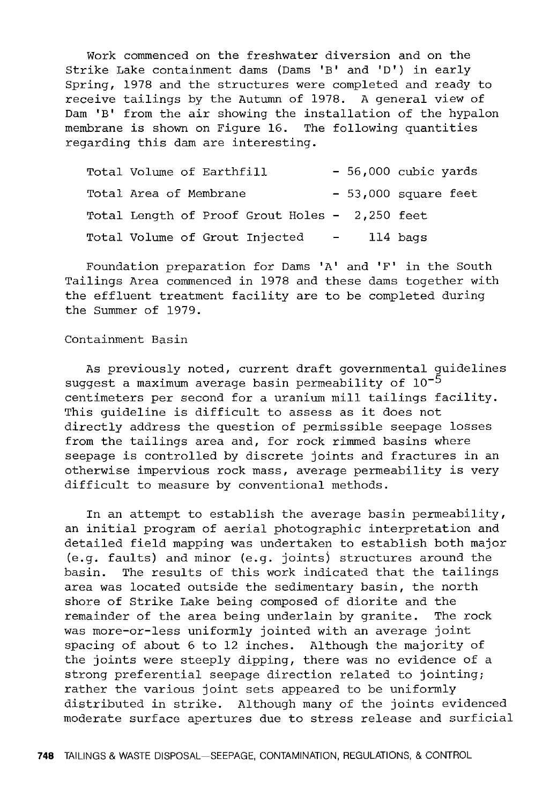Work commenced on the freshwater diversion and on the Strike Lake containment dams (Dams 'B' and 'D') in early Spring, 1978 and the structures were completed and ready to receive tailings by the Autumn of 1978. A general view of Dam 'B' from the air showing the installation of the hypalon membrane is shown on Figure 16. The following quantities regarding this dam are interesting.

| Total Volume of Earthfill                      |  | - 56,000 cubic yards |
|------------------------------------------------|--|----------------------|
| Total Area of Membrane                         |  | - 53,000 square feet |
| Total Length of Proof Grout Holes - 2,250 feet |  |                      |
| Total Volume of Grout Injected -               |  | ll4 bags             |

Foundation preparation for Dams 'A' and 'F' in the South Tailings Area commenced in 1978 and these dams together with the effluent treatment facility are to be completed during the Summer of 1979.

## Containment Basin

As previously noted, current draft governmental guidelines suggest a maximum average basin permeability of  $10^{-5}$ centimeters per second for a uranium mill tailings facility. This guideline is difficult to assess as it does not directly address the question of permissible seepage losses from the tailings area and, for rock rimmed basins where seepage is controlled by discrete joints and fractures in an otherwise impervious rock mass, average permeability is very difficult to measure by conventional methods.

In an attempt to establish the average basin permeability, an initial program of aerial photographic interpretation and detailed field mapping was undertaken to establish both major (e.g. faults) and minor (e.g. joints) structures around the basin. The results of this work indicated that the tailings area was located outside the sedimentary basin, the north shore of Strike Lake being composed of diorite and the remainder of the area being underlain by granite. The rock was more-or-less uniformly jointed with an average joint spacing of about 6 to 12 inches. Although the majority of the joints were steeply dipping, there was no evidence of a strong preferential seepage direction related to jointing; rather the various joint sets appeared to be uniformly distributed in strike. Although many of the joints evidenced moderate surface apertures due to stress release and surficial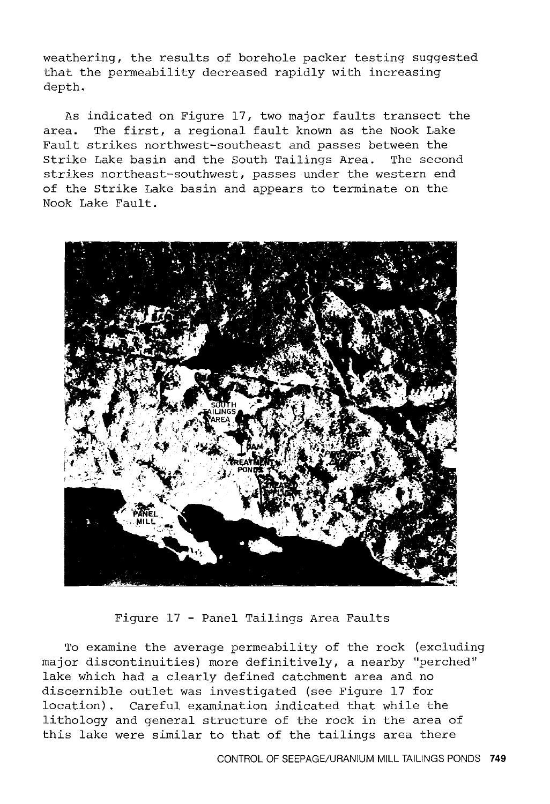weathering, the results of borehole packer testing suggested that the permeability decreased rapidly with increasing depth.

As indicated on Figure 17, two major faults transect the area. The first, a regional fault known as the Nook Lake Fault strikes northwest-southeast and passes between the Strike Lake basin and the South Tailings Area. The second strikes northeast-southwest, passes under the western end of the Strike Lake basin and appears to terminate on the Nook Lake Fault.



Figure 17 - Panel Tailings Area Faults

To examine the average permeability of the rock (excluding major discontinuities) more definitively, a nearby "perched" lake which had a clearly defined catchment area and no discernible outlet was investigated (see Figure 17 for location) . Careful examination indicated that while the lithology and general structure of the rock in the area of this lake were similar to that of the tailings area there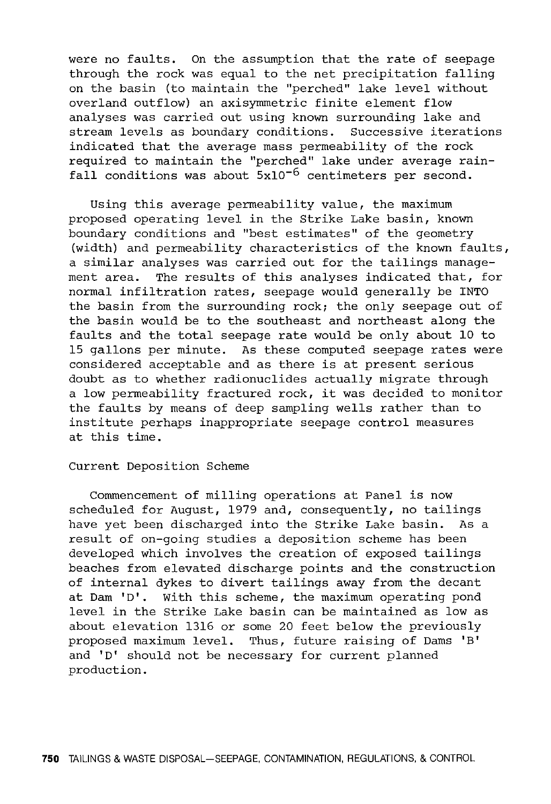were no faults. On the assumption that the rate of seepage through the rock was equal to the net precipitation falling on the basin (to maintain the "perched" lake level without overland outflow) an axisymmetric finite element flow analyses was carried out using known surrounding lake and stream levels as boundary conditions. Successive iterations indicated that the average mass permeability of the rock required to maintain the "perched" lake under average rainfall conditions was about  $5x10^{-6}$  centimeters per second.

Using this average permeability value, the maximum proposed operating level in the Strike Lake basin, known boundary conditions and "best estimates" of the geometry (width) and permeability characteristics of the known faults, a similar analyses was carried out for the tailings management area. The results of this analyses indicated that, for normal infiltration rates, seepage would generally be INTO the basin from the surrounding rock; the only seepage out of the basin would be to the southeast and northeast along the faults and the total seepage rate would be only about 10 to 15 gallons per minute. As these computed seepage rates were considered acceptable and as there is at present serious doubt as to whether radionuclides actually migrate through a low permeability fractured rock, it was decided to monitor the faults by means of deep sampling wells rather than to institute perhaps inappropriate seepage control measures at this time.

## Current Deposition Scheme

Commencement of milling operations at Panel is now scheduled for August, 1979 and, consequently, no tailings have yet been discharged into the Strike Lake basin. As a result of on-going studies a deposition scheme has been developed which involves the creation of exposed tailings beaches from elevated discharge points and the construction of internal dykes to divert tailings away from the decant at Dam 'D'. With this scheme, the maximum operating pond level in the Strike Lake basin can be maintained as low as about elevation 1316 or some 20 feet below the previously proposed maximum level. Thus, future raising of Dams 'B' and 'D' should not be necessary for current planned production.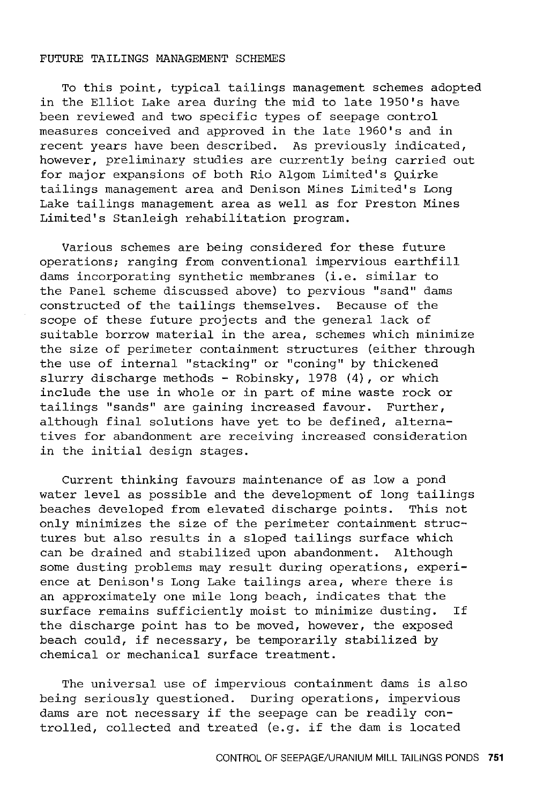#### FUTURE TAILINGS MANAGEMENT SCHEMES

To this point, typical tailings management schemes adopted in the Elliot Lake area during the mid to late l950's have been reviewed and two specific types of seepage control measures conceived and approved in the late 1960's and in recent years have been described. As previously indicated, however, preliminary studies are currently being carried out for major expansions of both Rio Algom Limited's Quirke tailings management area and Denison Mines Limited's Long Lake tailings management area as well as for Preston Mines Limited's Stanleigh rehabilitation program.

Various schemes are being considered for these future operations; ranging from conventional impervious earthfill dams incorporating synthetic membranes (i.e. similar to the Panel scheme discussed above) to pervious "sand" dams constructed of the tailings themselves. Because of the scope of these future projects and the general lack of suitable borrow material in the area, schemes which minimize the size of perimeter containment structures (either through the use of internal "stacking" or "coning" by thickened slurry discharge methods - Robinsky, 1978 (4), or which include the use in whole or in part of mine waste rock or tailings "sands" are gaining increased favour. Further, although final solutions have yet to be defined, alternatives for abandonment are receiving increased consideration in the initial design stages.

Current thinking favours maintenance of as low a pond water level as possible and the development of long tailings beaches developed from elevated discharge points. This not only minimizes the size of the perimeter containment structures but also results in a sloped tailings surface which can be drained and stabilized upon abandonment. Although some dusting problems may result during operations, experience at Denison's Long Lake tailings area, where there is an approximately one mile long beach, indicates that the surface remains sufficiently moist to minimize dusting. If the discharge point has to be moved, however, the exposed beach could, if necessary, be temporarily stabilized by chemical or mechanical surface treatment.

The universal use of impervious containment dams is also being seriously questioned. During operations, impervious dams are not necessary if the seepage can be readily controlled, collected and treated (e.g. if the dam is located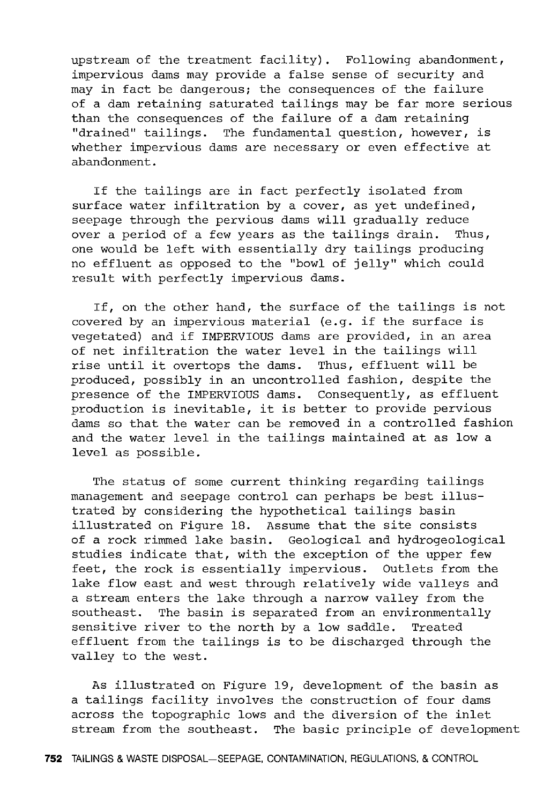upstream of the treatment facility). Following abandonment, impervious dams may provide a false sense of security and may in fact be dangerous; the consequences of the failure of a dam retaining saturated tailings may be far more serious than the consequences of the failure of a dam retaining "drained" tailings. The fundamental question, however, is whether impervious dams are necessary or even effective at abandonment.

If the tailings are in fact perfectly isolated from surface water infiltration by a cover, as yet undefined, seepage through the pervious dams will gradually reduce over a period of a few years as the tailings drain. Thus, one would be left with essentially dry tailings producing no effluent as opposed to the "bowl of jelly" which could result with perfectly impervious dams.

If, on the other hand, the surface of the tailings is not covered by an impervious material (e.g. if the surface is vegetated) and if IMPERVIOUS dams are provided, in an area of net infiltration the water level in the tailings will rise until it overtops the dams. Thus, effluent will be produced, possibly in an uncontrolled fashion, despite the presence of the IMPERVIOUS dams. Consequently, as effluent production is inevitable, it is better to provide pervious dams so that the water can be removed in a controlled fashion and the water level in the tailings maintained at as low a level as possible.

The status of some current thinking regarding tailings management and seepage control can perhaps be best illustrated by considering the hypothetical tailings basin illustrated on Figure 18. Assume that the site consists of a rock rimmed lake basin. Geological and hydrogeological studies indicate that, with the exception of the upper few feet, the rock is essentially impervious. Outlets from the lake flow east and west through relatively wide valleys and a stream enters the lake through a narrow valley from the southeast. The basin is separated from an environmentally sensitive river to the north by a low saddle. Treated effluent from the tailings is to be discharged through the valley to the west.

As illustrated on Figure 19, development of the basin as a tailings facility involves the construction of four dams across the topographic lows and the diversion of the inlet stream from the southeast. The basic principle of development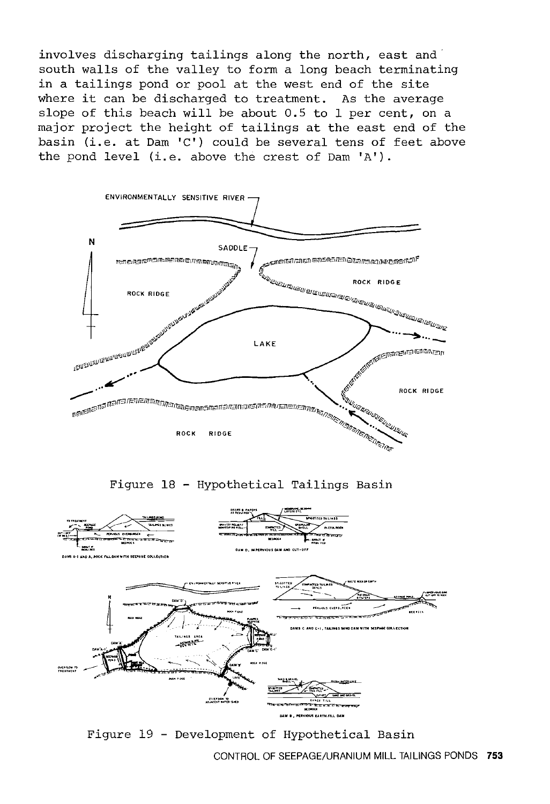involves discharging tailings along the north, east and south walls of the valley to form a long beach terminating in a tailings pond or pool at the west end of the site where it can be discharged to treatment. As the average slope of this beach will be about 0.5 to 1 per cent, on a major project the height of tailings at the east end of the basin (i.e. at Dam  $C'$ ) could be several tens of feet above the pond level (i.e. above the crest of Dam 'A').



Figure 19 - Development of Hypothetical Basin

CONTROL OF SEEPAGE/URANIUM MILL TAILINGS PONDS **753**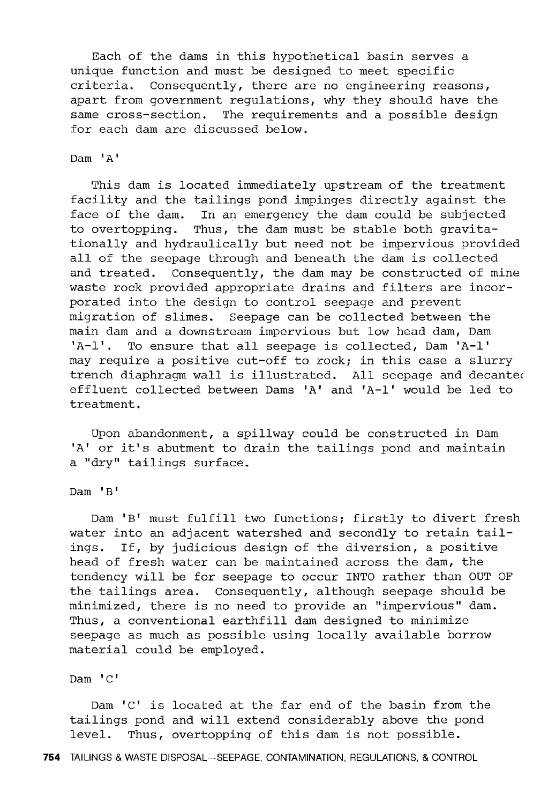Each of the dams in this hypothetical basin serves a unique function and must be designed to meet specific criteria. Consequently, there are no engineering reasons, apart from government regulations, why they should have the same cross-section. The requirements and a possible design for each dam are discussed below.

## Dam 'A'

This dam is located immediately upstream of the treatment facility and the tailings pond impinges directly against the face of the dam. In an emergency the dam could be subjected to overtopping. Thus, the dam must be stable both gravitationally and hydraulically but need not be impervious provided all of the seepage through and beneath the dam is collected and treated. Consequently, the dam may be constructed of mine waste rock provided appropriate drains and filters are incorporated into the design to control seepage and prevent migration of slimes. Seepage can be collected between the main dam and a downstream impervious but low head dam, Dam 'A-1'. To ensure that all seepage is collected, Dam 'A-1' may require a positive cut-off to rock; in this case a slurry trench diaphragm wall is illustrated. All seepage and decantec effluent collected between Dams 'A' and 'A-1' would be led to treatment.

Upon abandonment, a spillway could be constructed in Dam 'A' or it's abutment to drain the tailings pond and maintain a "dry" tailings surface.

Dam 'B'

Dam 'B' must fulfill two functions; firstly to divert fresh water into an adjacent watershed and secondly to retain tail-<br>ings. If, by judicious design of the diversion, a positive If, by judicious design of the diversion, a positive head of fresh water can be maintained across the dam, the tendency will be for seepage to occur INTO rather than OUT OF the tailings area. Consequently, although seepage should be minimized, there is no need to provide an "impervious" dam. Thus, a conventional earthfill dam designed to minimize seepage as much as possible using locally available borrow material could be employed.

Dam 'C'

Dam 'C' is located at the far end of the basin from the tailings pond and will extend considerably above the pond level. Thus, overtopping of this dam is not possible.

**754** TAILINGS & WASTE DISPOSAL-SEEPAGE, CONTAMINATION, REGULATIONS, & CONTROL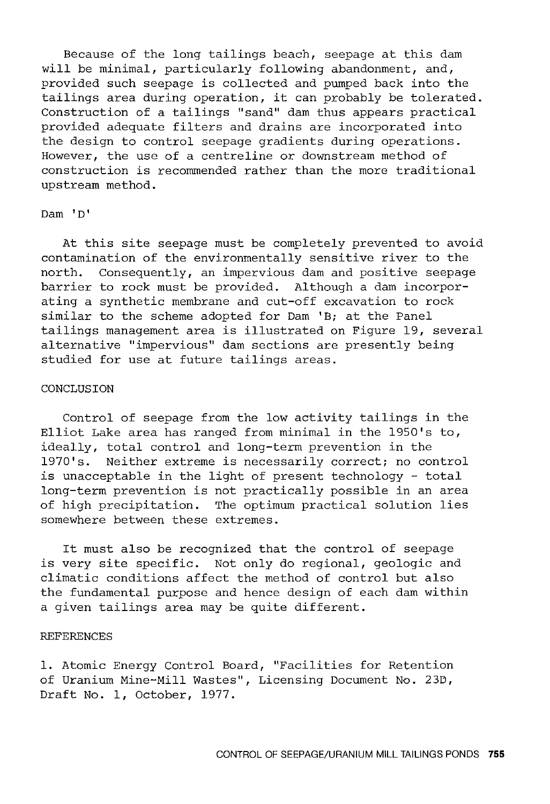Because of the long tailings beach, seepage at this dam will be minimal, particularly following abandonment, and, provided such seepage is collected and pumped back into the tailings area during operation, it can probably be tolerated. Construction of a tailings "sand" dam thus appears practical provided adequate filters and drains are incorporated into the design to control seepage gradients during operations. However, the use of a centreline or downstream method of construction is recommended rather than the more traditional upstream method.

## Dam 'D'

At this site seepage must be completely prevented to avoid contamination of the environmentally sensitive river to the north. Consequently, an impervious dam and positive seepage barrier to rock must be provided. Although a dam incorporating a synthetic membrane and cut-off excavation to rock similar to the scheme adopted for Dam 'B; at the Panel tailings management area is illustrated on Figure 19, several alternative "impervious" dam sections are presently being studied for use at future tailings areas.

## CONCLUSION

Control of seepage from the low activity tailings in the Elliot Lake area has ranged from minimal in the 1950's to, ideally, total control and long-term prevention in the 1970's. Neither extreme is necessarily correct; no control is unacceptable in the light of present technology - total long-term prevention is not practically possible in an area of high precipitation. The optimum practical solution lies somewhere between these extremes.

It must also be recognized that the control of seepage is very site specific. Not only do regional, geologic and climatic conditions affect the method of control but also the fundamental purpose and hence design of each dam within a given tailings area may be quite different.

## REFERENCES

1. Atomic Energy Control Board, "Facilities for Retention of Uranium Mine-Mill Wastes", Licensing Document No. 23D, Draft No. 1, October, 1977.